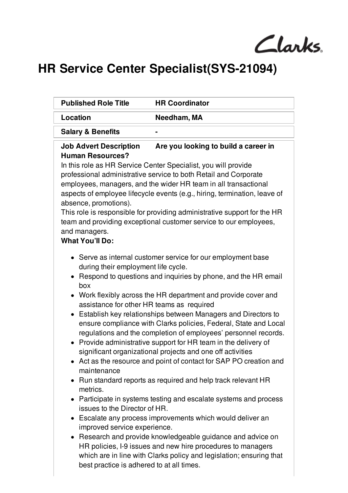Clarks.

## **HR Service Center Specialist(SYS-21094)**

| <b>Published Role Title</b>                                                                                                                                                                                                                                                                                                                                                                                                                                                                                                                                                                                                                                                                                                                                                                                                                                                                                                                                                                                                                                                                                                                                                                                                                                            | <b>HR Coordinator</b> |
|------------------------------------------------------------------------------------------------------------------------------------------------------------------------------------------------------------------------------------------------------------------------------------------------------------------------------------------------------------------------------------------------------------------------------------------------------------------------------------------------------------------------------------------------------------------------------------------------------------------------------------------------------------------------------------------------------------------------------------------------------------------------------------------------------------------------------------------------------------------------------------------------------------------------------------------------------------------------------------------------------------------------------------------------------------------------------------------------------------------------------------------------------------------------------------------------------------------------------------------------------------------------|-----------------------|
| Location                                                                                                                                                                                                                                                                                                                                                                                                                                                                                                                                                                                                                                                                                                                                                                                                                                                                                                                                                                                                                                                                                                                                                                                                                                                               | Needham, MA           |
| <b>Salary &amp; Benefits</b>                                                                                                                                                                                                                                                                                                                                                                                                                                                                                                                                                                                                                                                                                                                                                                                                                                                                                                                                                                                                                                                                                                                                                                                                                                           |                       |
| Are you looking to build a career in<br><b>Job Advert Description</b><br><b>Human Resources?</b><br>In this role as HR Service Center Specialist, you will provide<br>professional administrative service to both Retail and Corporate<br>employees, managers, and the wider HR team in all transactional<br>aspects of employee lifecycle events (e.g., hiring, termination, leave of<br>absence, promotions).<br>This role is responsible for providing administrative support for the HR<br>team and providing exceptional customer service to our employees,<br>and managers.<br><b>What You'll Do:</b>                                                                                                                                                                                                                                                                                                                                                                                                                                                                                                                                                                                                                                                            |                       |
| • Serve as internal customer service for our employment base<br>during their employment life cycle.<br>• Respond to questions and inquiries by phone, and the HR email<br>box<br>• Work flexibly across the HR department and provide cover and<br>assistance for other HR teams as required<br>Establish key relationships between Managers and Directors to<br>ensure compliance with Clarks policies, Federal, State and Local<br>regulations and the completion of employees' personnel records.<br>• Provide administrative support for HR team in the delivery of<br>significant organizational projects and one off activities<br>• Act as the resource and point of contact for SAP PO creation and<br>maintenance<br>Run standard reports as required and help track relevant HR<br>metrics.<br>• Participate in systems testing and escalate systems and process<br>issues to the Director of HR.<br>• Escalate any process improvements which would deliver an<br>improved service experience.<br>Research and provide knowledgeable guidance and advice on<br>$\bullet$<br>HR policies, I-9 issues and new hire procedures to managers<br>which are in line with Clarks policy and legislation; ensuring that<br>best practice is adhered to at all times. |                       |